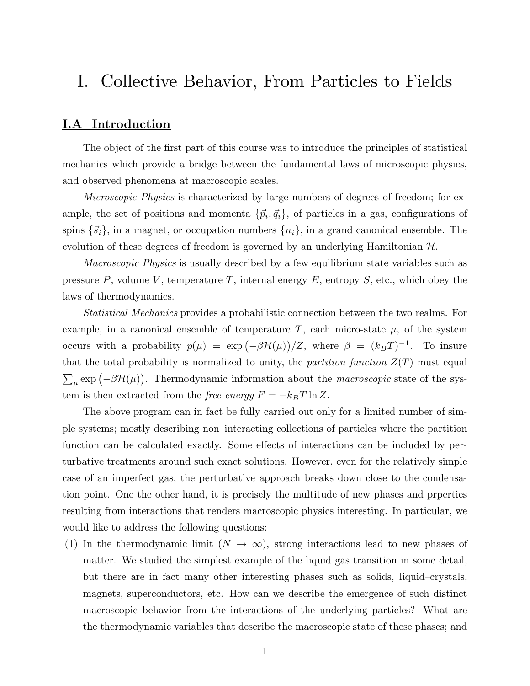# I. Collective Behavior, From Particles to Fields

# I.A Introduction

The object of the first part of this course was to introduce the principles of statistical mechanics which provide a bridge between the fundamental laws of microscopic physics, and observed phenomena at macroscopic scales.

Microscopic Physics is characterized by large numbers of degrees of freedom; for example, the set of positions and momenta  $\{\vec{p}_i, \vec{q}_i\}$ , of particles in a gas, configurations of spins  $\{\vec{s}_i\}$ , in a magnet, or occupation numbers  $\{n_i\}$ , in a grand canonical ensemble. The evolution of these degrees of freedom is governed by an underlying Hamiltonian  $\mathcal{H}$ .

*Macroscopic Physics* is usually described by a few equilibrium state variables such as pressure  $P$ , volume  $V$ , temperature  $T$ , internal energy  $E$ , entropy  $S$ , etc., which obey the laws of thermodynamics.

 $\sum_{\mu} \exp(-\beta \mathcal{H}(\mu))$ . Thermodynamic information about the *macroscopic* state of the sys-Statistical Mechanics provides a probabilistic connection between the two realms. For example, in a canonical ensemble of temperature  $T$ , each micro-state  $\mu$ , of the system occurs with a probability  $p(\mu) = \exp(-\beta \mathcal{H}(\mu))/Z$ , where  $\beta = (k_BT)^{-1}$ . To insure that the total probability is normalized to unity, the partition function  $Z(T)$  must equal tem is then extracted from the *free energy*  $F = -k_BT \ln Z$ .

The above program can in fact be fully carried out only for a limited number of simple systems; mostly describing non–interacting collections of particles where the partition function can be calculated exactly. Some effects of interactions can be included by perturbative treatments around such exact solutions. However, even for the relatively simple case of an imperfect gas, the perturbative approach breaks down close to the condensation point. One the other hand, it is precisely the multitude of new phases and prperties resulting from interactions that renders macroscopic physics interesting. In particular, we would like to address the following questions:

(1) In the thermodynamic limit  $(N \to \infty)$ , strong interactions lead to new phases of matter. We studied the simplest example of the liquid gas transition in some detail, but there are in fact many other interesting phases such as solids, liquid–crystals, magnets, superconductors, etc. How can we describe the emergence of such distinct macroscopic behavior from the interactions of the underlying particles? What are the thermodynamic variables that describe the macroscopic state of these phases; and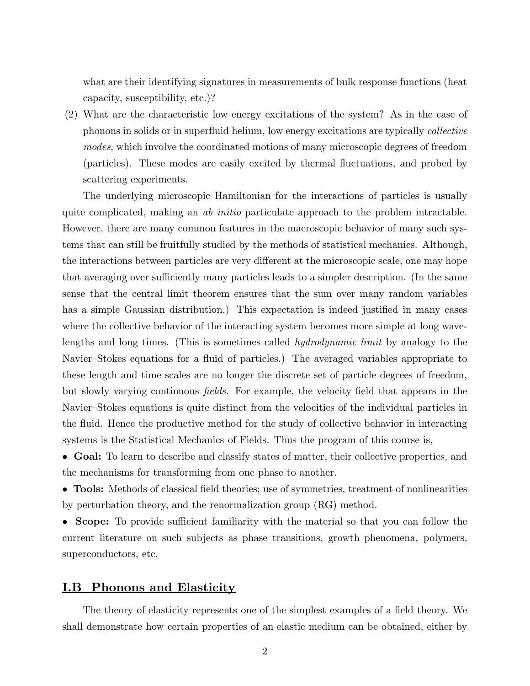what are their identifying signatures in measurements of bulk response functions (heat capacity, susceptibility, etc.)?

(2) What are the characteristic low energy excitations of the system? As in the case of phonons in solids or in superfluid helium, low energy excitations are typically collective modes, which involve the coordinated motions of many microscopic degrees of freedom (particles). These modes are easily excited by thermal fluctuations, and probed by scattering experiments.

The underlying microscopic Hamiltonian for the interactions of particles is usually quite complicated, making an *ab initio* particulate approach to the problem intractable. However, there are many common features in the macroscopic behavior of many such systems that can still be fruitfully studied by the methods of statistical mechanics. Although, the interactions between particles are very different at the microscopic scale, one may hope that averaging over sufficiently many particles leads to a simpler description. (In the same sense that the central limit theorem ensures that the sum over many random variables has a simple Gaussian distribution.) This expectation is indeed justified in many cases where the collective behavior of the interacting system becomes more simple at long wavelengths and long times. (This is sometimes called hydrodynamic limit by analogy to the Navier–Stokes equations for a fluid of particles.) The averaged variables appropriate to these length and time scales are no longer the discrete set of particle degrees of freedom, but slowly varying continuous fields. For example, the velocity field that appears in the Navier–Stokes equations is quite distinct from the velocities of the individual particles in the fluid. Hence the productive method for the study of collective behavior in interacting systems is the Statistical Mechanics of Fields. Thus the program of this course is,

• Goal: To learn to describe and classify states of matter, their collective properties, and the mechanisms for transforming from one phase to another.

• **Tools:** Methods of classical field theories; use of symmetries, treatment of nonlinearities by perturbation theory, and the renormalization group (RG) method.

• Scope: To provide sufficient familiarity with the material so that you can follow the current literature on such subjects as phase transitions, growth phenomena, polymers, superconductors, etc.

### **I.B** Phonons and Elasticity

The theory of elasticity represents one of the simplest examples of a field theory. We shall demonstrate how certain properties of an elastic medium can be obtained, either by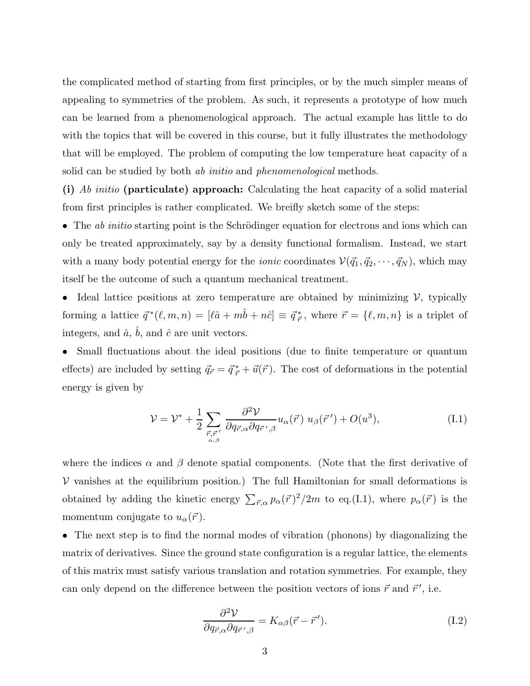the complicated method of starting from first principles, or by the much simpler means of appealing to symmetries of the problem. As such, it represents a prototype of how much can be learned from a phenomenological approach. The actual example has little to do with the topics that will be covered in this course, but it fully illustrates the methodology that will be employed. The problem of computing the low temperature heat capacity of a solid can be studied by both *ab initio* and *phenomenological* methods.

(i) Ab initio (particulate) approach: Calculating the heat capacity of a solid material from first principles is rather complicated. We breifly sketch some of the steps:

• The *ab initio* starting point is the Schrödinger equation for electrons and ions which can only be treated approximately, say by a density functional formalism. Instead, we start with a many body potential energy for the *ionic* coordinates  $V(\vec{q}_1, \vec{q}_2, \dots, \vec{q}_N)$ , which may itself be the outcome of such a quantum mechanical treatment.

• Ideal lattice positions at zero temperature are obtained by minimizing  $\mathcal V$ , typically forming a lattice  $\vec{q}^*(\ell, m, n) = [\ell \hat{a} + m \hat{b} + n \hat{c}] \equiv \vec{q}^*_{\vec{r}},$  where  $\vec{r} = {\ell, m, n}$  is a triplet of integers, and  $\hat{a}$ ,  $\hat{b}$ , and  $\hat{c}$  are unit vectors.

• Small fluctuations about the ideal positions (due to finite temperature or quantum effects) are included by setting  $\vec{q}_{\vec{r}} = \vec{q}^*_{\vec{r}} + \vec{u}(\vec{r})$ . The cost of deformations in the potential energy is given by

$$
\mathcal{V} = \mathcal{V}^* + \frac{1}{2} \sum_{\substack{\vec{r}, \vec{r}' \\ \alpha, \beta}} \frac{\partial^2 \mathcal{V}}{\partial q_{\vec{r}, \alpha} \partial q_{\vec{r}', \beta}} u_{\alpha}(\vec{r}) u_{\beta}(\vec{r}') + O(u^3), \tag{I.1}
$$

where the indices  $\alpha$  and  $\beta$  denote spatial components. (Note that the first derivative of  $V$  vanishes at the equilibrium position.) The full Hamiltonian for small deformations is obtained by adding the kinetic energy  $\sum_{\vec{r},\alpha} p_{\alpha}(\vec{r})^2/2m$  to eq.(I.1), where  $p_{\alpha}(\vec{r})$  is the momentum conjugate to  $u_{\alpha}(\vec{r})$ .

• The next step is to find the normal modes of vibration (phonons) by diagonalizing the matrix of derivatives. Since the ground state configuration is a regular lattice, the elements of this matrix must satisfy various translation and rotation symmetries. For example, they can only depend on the difference between the position vectors of ions  $\vec{r}$  and  $\vec{r}'$ , i.e.

$$
\frac{\partial^2 V}{\partial q_{\vec{r},\alpha} \partial q_{\vec{r}',\beta}} = K_{\alpha\beta}(\vec{r} - \vec{r}'). \tag{I.2}
$$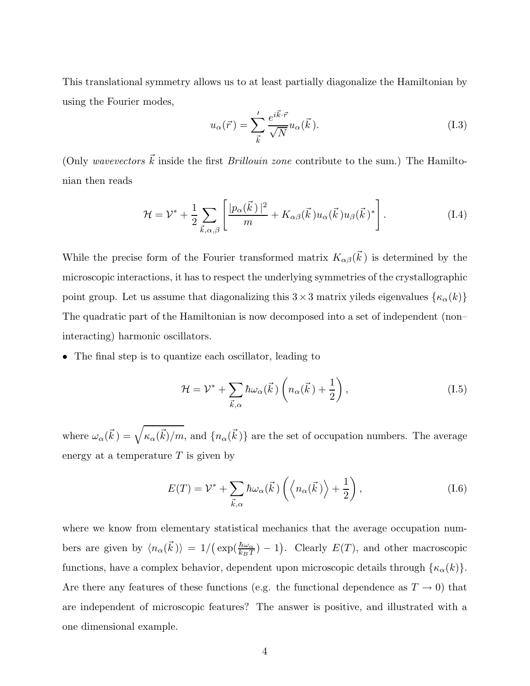This translational symmetry allows us to at least partially diagonalize the Hamiltonian by using the Fourier modes,

$$
u_{\alpha}(\vec{r}) = \sum_{\vec{k}}' \frac{e^{i\vec{k}\cdot\vec{r}}}{\sqrt{N}} u_{\alpha}(\vec{k}).
$$
\n(1.3)

(Only wavevectors  $\vec{k}$  inside the first *Brillouin zone* contribute to the sum.) The Hamiltonian then reads

$$
\mathcal{H} = \mathcal{V}^* + \frac{1}{2} \sum_{\vec{k}, \alpha, \beta} \left[ \frac{|p_{\alpha}(\vec{k})|^2}{m} + K_{\alpha\beta}(\vec{k}) u_{\alpha}(\vec{k}) u_{\beta}(\vec{k})^* \right]. \tag{I.4}
$$

While the precise form of the Fourier transformed matrix  $K_{\alpha\beta}(\vec{k})$  is determined by the microscopic interactions, it has to respect the underlying symmetries of the crystallographic point group. Let us assume that diagonalizing this  $3 \times 3$  matrix yileds eigenvalues  $\{\kappa_\alpha(k)\}$ The quadratic part of the Hamiltonian is now decomposed into a set of independent (non– interacting) harmonic oscillators.

• The final step is to quantize each oscillator, leading to

$$
\mathcal{H} = \mathcal{V}^* + \sum_{\vec{k},\alpha} \hbar \omega_\alpha(\vec{k}) \left( n_\alpha(\vec{k}) + \frac{1}{2} \right), \tag{I.5}
$$

where  $\omega_\alpha(\vec{k}) = \sqrt{\kappa_\alpha(\vec{k})/m}$ , and  $\{n_\alpha(\vec{k})\}$  are the set of occupation numbers. The average energy at a temperature  $T$  is given by

$$
E(T) = \mathcal{V}^* + \sum_{\vec{k},\alpha} \hbar \omega_\alpha(\vec{k}) \left( \left\langle n_\alpha(\vec{k}) \right\rangle + \frac{1}{2} \right), \tag{I.6}
$$

bers are given by  $\langle n_{\alpha}(\vec{k})\rangle = 1/(\exp(\frac{\hbar\omega_{\alpha}}{k_BT}) - 1)$ . Clearly  $E(T)$ , and other macroscopic where we know from elementary statistical mechanics that the average occupation numfunctions, have a complex behavior, dependent upon microscopic details through  $\{\kappa_{\alpha}(k)\}.$ Are there any features of these functions (e.g. the functional dependence as  $T \to 0$ ) that are independent of microscopic features? The answer is positive, and illustrated with a one dimensional example.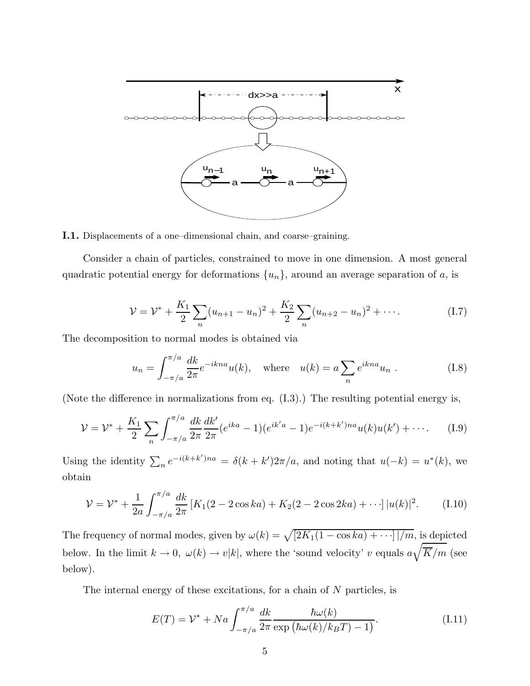

I.1. Displacements of a one–dimensional chain, and coarse–graining.

Consider a chain of particles, constrained to move in one dimension. A most general quadratic potential energy for deformations  $\{u_n\}$ , around an average separation of a, is

$$
\mathcal{V} = \mathcal{V}^* + \frac{K_1}{2} \sum_n (u_{n+1} - u_n)^2 + \frac{K_2}{2} \sum_n (u_{n+2} - u_n)^2 + \cdots
$$
 (I.7)

The decomposition to normal modes is obtained via

$$
u_n = \int_{-\pi/a}^{\pi/a} \frac{dk}{2\pi} e^{-ikna} u(k), \quad \text{where} \quad u(k) = a \sum_n e^{ikna} u_n . \tag{I.8}
$$

(Note the difference in normalizations from eq. (I.3).) The resulting potential energy is,

$$
\mathcal{V} = \mathcal{V}^* + \frac{K_1}{2} \sum_n \int_{-\pi/a}^{\pi/a} \frac{dk}{2\pi} \frac{dk'}{2\pi} (e^{ika} - 1)(e^{ik'a} - 1)e^{-i(k+k')na} u(k)u(k') + \cdots
$$
 (I.9)

Using the identity  $\sum_{n} e^{-i(k+k')na} = \delta(k+k')2\pi/a$ , and noting that  $u(-k) = u^*(k)$ , we obtain

$$
\mathcal{V} = \mathcal{V}^* + \frac{1}{2a} \int_{-\pi/a}^{\pi/a} \frac{dk}{2\pi} \left[ K_1(2 - 2\cos ka) + K_2(2 - 2\cos 2ka) + \cdots \right] |u(k)|^2.
$$
 (I.10)

The frequency of normal modes, given by  $\omega(k) = \sqrt{[2K_1(1 - \cos ka) + \cdots]/m}$ , is depicted below. In the limit  $k \to 0$ ,  $\omega(k) \to v|k|$ , where the 'sound velocity' v equals  $a\sqrt{\overline{K}/m}$  (see below).

The internal energy of these excitations, for a chain of  $N$  particles, is

$$
E(T) = \mathcal{V}^* + Na \int_{-\pi/a}^{\pi/a} \frac{dk}{2\pi} \frac{\hbar \omega(k)}{\exp\left(\hbar \omega(k)/k_B T\right) - 1}.
$$
 (I.11)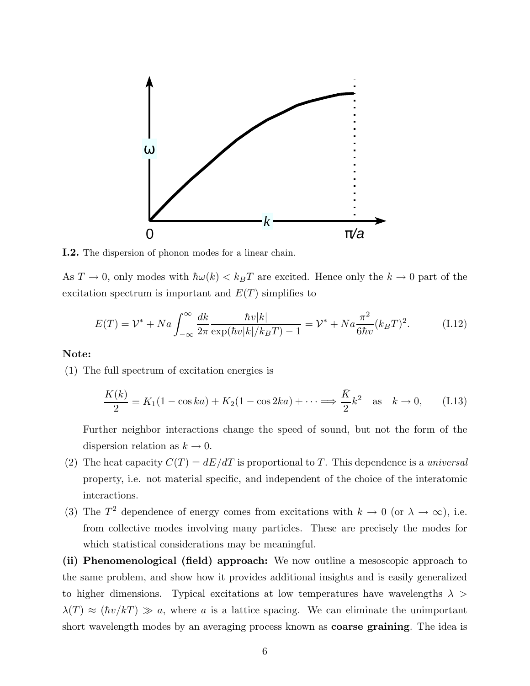

I.2. The dispersion of phonon modes for a linear chain.

As  $T \to 0$ , only modes with  $\hbar \omega(k) < k_B T$  are excited. Hence only the  $k \to 0$  part of the excitation spectrum is important and  $E(T)$  simplifies to

$$
E(T) = \mathcal{V}^* + Na \int_{-\infty}^{\infty} \frac{dk}{2\pi} \frac{\hbar v|k|}{\exp(\hbar v|k|/k_B T) - 1} = \mathcal{V}^* + Na \frac{\pi^2}{6\hbar v}(k_B T)^2.
$$
 (I.12)

#### Note:

(1) The full spectrum of excitation energies is

$$
\frac{K(k)}{2} = K_1(1 - \cos ka) + K_2(1 - \cos 2ka) + \dots \Longrightarrow \frac{\bar{K}}{2}k^2 \quad \text{as} \quad k \to 0,\tag{I.13}
$$

Further neighbor interactions change the speed of sound, but not the form of the dispersion relation as  $k \to 0$ .

- (2) The heat capacity  $C(T) = dE/dT$  is proportional to T. This dependence is a universal property, i.e. not material specific, and independent of the choice of the interatomic interactions.
- (3) The  $T^2$  dependence of energy comes from excitations with  $k \to 0$  (or  $\lambda \to \infty$ ), i.e. from collective modes involving many particles. These are precisely the modes for which statistical considerations may be meaningful.

(ii) Phenomenological (field) approach: We now outline a mesoscopic approach to the same problem, and show how it provides additional insights and is easily generalized to higher dimensions. Typical excitations at low temperatures have wavelengths  $\lambda >$  $\lambda(T) \approx (\hbar v / kT) \gg a$ , where a is a lattice spacing. We can eliminate the unimportant short wavelength modes by an averaging process known as coarse graining. The idea is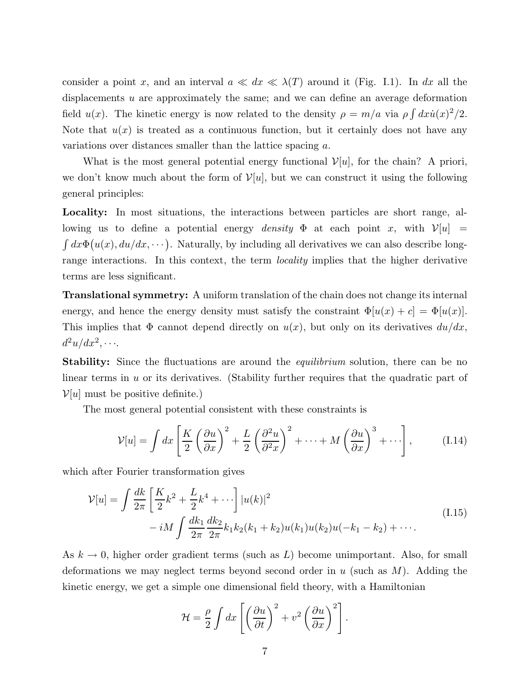consider a point x, and an interval  $a \ll dx \ll \lambda(T)$  around it (Fig. I.1). In dx all the displacements u are approximately the same; and we can define an average deformation field  $u(x)$ . The kinetic energy is now related to the density  $\rho = m/a$  via  $\rho \int dx \dot{u}(x)^2/2$ . Note that  $u(x)$  is treated as a continuous function, but it certainly does not have any variations over distances smaller than the lattice spacing a.

What is the most general potential energy functional  $\mathcal{V}[u]$ , for the chain? A priori, we don't know much about the form of  $\mathcal{V}[u]$ , but we can construct it using the following general principles:

 $\int dx \Phi(u(x), du/dx, \dots)$ . Naturally, by including all derivatives we can also describe long-Locality: In most situations, the interactions between particles are short range, allowing us to define a potential energy *density*  $\Phi$  at each point x, with  $\mathcal{V}[u] =$ range interactions. In this context, the term *locality* implies that the higher derivative terms are less significant.

Translational symmetry: A uniform translation of the chain does not change its internal energy, and hence the energy density must satisfy the constraint  $\Phi[u(x) + c] = \Phi[u(x)]$ . This implies that  $\Phi$  cannot depend directly on  $u(x)$ , but only on its derivatives  $du/dx$ ,  $d^2u/dx^2, \cdots$ 

**Stability:** Since the fluctuations are around the *equilibrium* solution, there can be no linear terms in  $u$  or its derivatives. (Stability further requires that the quadratic part of  $\mathcal{V}[u]$  must be positive definite.)

The most general potential consistent with these constraints is

$$
\mathcal{V}[u] = \int dx \left[ \frac{K}{2} \left( \frac{\partial u}{\partial x} \right)^2 + \frac{L}{2} \left( \frac{\partial^2 u}{\partial x^2} \right)^2 + \dots + M \left( \frac{\partial u}{\partial x} \right)^3 + \dots \right], \tag{I.14}
$$

which after Fourier transformation gives

$$
\mathcal{V}[u] = \int \frac{dk}{2\pi} \left[ \frac{K}{2} k^2 + \frac{L}{2} k^4 + \cdots \right] |u(k)|^2
$$
  
-  $iM \int \frac{dk_1}{2\pi} \frac{dk_2}{2\pi} k_1 k_2 (k_1 + k_2) u(k_1) u(k_2) u(-k_1 - k_2) + \cdots$  (I.15)

As  $k \to 0$ , higher order gradient terms (such as L) become unimportant. Also, for small deformations we may neglect terms beyond second order in  $u$  (such as  $M$ ). Adding the kinetic energy, we get a simple one dimensional field theory, with a Hamiltonian

$$
\mathcal{H} = \frac{\rho}{2} \int dx \left[ \left( \frac{\partial u}{\partial t} \right)^2 + v^2 \left( \frac{\partial u}{\partial x} \right)^2 \right].
$$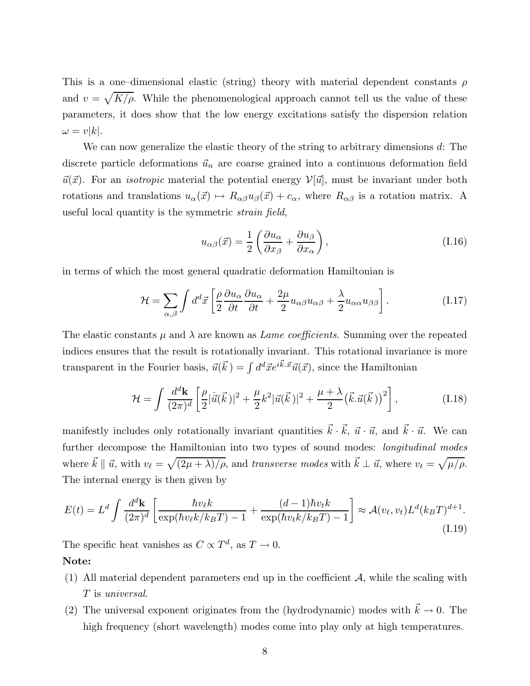and  $v = \sqrt{K/\rho}$ . While the phenomenological approach cannot tell us the value of these This is a one–dimensional elastic (string) theory with material dependent constants  $\rho$ parameters, it does show that the low energy excitations satisfy the dispersion relation  $\omega = v|k|.$ 

We can now generalize the elastic theory of the string to arbitrary dimensions d: The discrete particle deformations  $\vec{u}_n$  are coarse grained into a continuous deformation field  $\vec{u}(\vec{x})$ . For an *isotropic* material the potential energy  $\mathcal{V}[\vec{u}]$ , must be invariant under both rotations and translations  $u_{\alpha}(\vec{x}) \mapsto R_{\alpha\beta}u_{\beta}(\vec{x}) + c_{\alpha}$ , where  $R_{\alpha\beta}$  is a rotation matrix. A useful local quantity is the symmetric strain field,

$$
u_{\alpha\beta}(\vec{x}) = \frac{1}{2} \left( \frac{\partial u_{\alpha}}{\partial x_{\beta}} + \frac{\partial u_{\beta}}{\partial x_{\alpha}} \right), \tag{I.16}
$$

in terms of which the most general quadratic deformation Hamiltonian is

$$
\mathcal{H} = \sum_{\alpha,\beta} \int d^d \vec{x} \left[ \frac{\rho}{2} \frac{\partial u_{\alpha}}{\partial t} \frac{\partial u_{\alpha}}{\partial t} + \frac{2\mu}{2} u_{\alpha\beta} u_{\alpha\beta} + \frac{\lambda}{2} u_{\alpha\alpha} u_{\beta\beta} \right]. \tag{I.17}
$$

transparent in the Fourier basis,  $\vec{u}(\vec{k}) = \int d^d \vec{x} e^{i\vec{k} \cdot \vec{x}} \vec{u}(\vec{x})$ , since the Hamiltonian The elastic constants  $\mu$  and  $\lambda$  are known as *Lame coefficients*. Summing over the repeated indices ensures that the result is rotationally invariant. This rotational invariance is more

$$
\mathcal{H} = \int \frac{d^d \mathbf{k}}{(2\pi)^d} \left[ \frac{\rho}{2} |\dot{\vec{u}}(\vec{k})|^2 + \frac{\mu}{2} k^2 |\vec{u}(\vec{k})|^2 + \frac{\mu + \lambda}{2} (\vec{k} \cdot \vec{u}(\vec{k}))^2 \right],
$$
 (I.18)

manifestly includes only rotationally invariant quantities  $\vec{k} \cdot \vec{k}$ ,  $\vec{u} \cdot \vec{u}$ , and  $\vec{k} \cdot \vec{u}$ . We can further decompose the Hamiltonian into two types of sound modes: *longitudinal modes* where  $\vec{k} \parallel \vec{u}$ , with  $v_{\ell} = \sqrt{(2\mu + \lambda)/\rho}$ , and transverse modes with  $\vec{k} \perp \vec{u}$ , where  $v_t = \sqrt{\mu/\rho}$ . The internal energy is then given by

$$
E(t) = L^d \int \frac{d^d \mathbf{k}}{(2\pi)^d} \left[ \frac{\hbar v_\ell k}{\exp(\hbar v_\ell k / k_B T) - 1} + \frac{(d-1)\hbar v_t k}{\exp(\hbar v_t k / k_B T) - 1} \right] \approx \mathcal{A}(v_\ell, v_t) L^d (k_B T)^{d+1}.
$$
\n(1.19)

The specific heat vanishes as  $C \propto T^d$ , as  $T \to 0$ .

## Note:

- (1) All material dependent parameters end up in the coefficient  $A$ , while the scaling with T is universal.
- (2) The universal exponent originates from the (hydrodynamic) modes with  $\vec{k} \to 0$ . The high frequency (short wavelength) modes come into play only at high temperatures.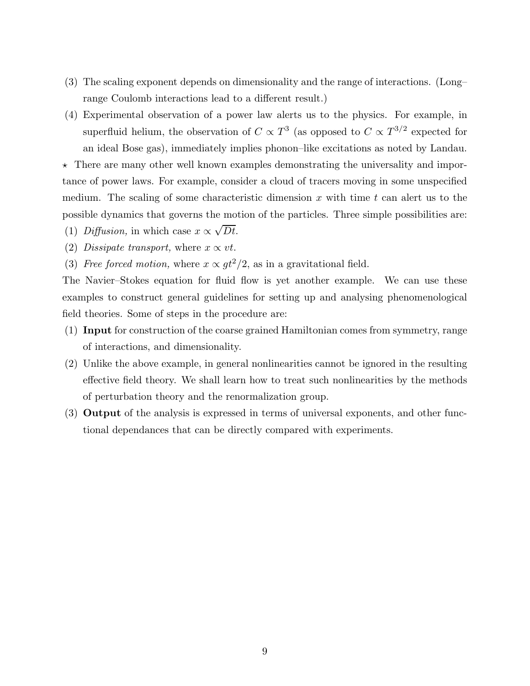- (3) The scaling exponent depends on dimensionality and the range of interactions. (Long– range Coulomb interactions lead to a different result.)
- (4) Experimental observation of a power law alerts us to the physics. For example, in superfluid helium, the observation of  $C \propto T^3$  (as opposed to  $C \propto T^{3/2}$  expected for an ideal Bose gas), immediately implies phonon–like excitations as noted by Landau.

 $\star$  There are many other well known examples demonstrating the universality and importance of power laws. For example, consider a cloud of tracers moving in some unspecified medium. The scaling of some characteristic dimension x with time t can alert us to the possible dynamics that governs the motion of the particles. Three simple possibilities are:

- (1) *Diffusion*, in which case  $x \propto \sqrt{Dt}$ .
- (2) Dissipate transport, where  $x \propto vt$ .
- (3) Free forced motion, where  $x \propto gt^2/2$ , as in a gravitational field.

The Navier–Stokes equation for fluid flow is yet another example. We can use these examples to construct general guidelines for setting up and analysing phenomenological field theories. Some of steps in the procedure are:

- (1) Input for construction of the coarse grained Hamiltonian comes from symmetry, range of interactions, and dimensionality.
- (2) Unlike the above example, in general nonlinearities cannot be ignored in the resulting effective field theory. We shall learn how to treat such nonlinearities by the methods of perturbation theory and the renormalization group.
- (3) Output of the analysis is expressed in terms of universal exponents, and other functional dependances that can be directly compared with experiments.